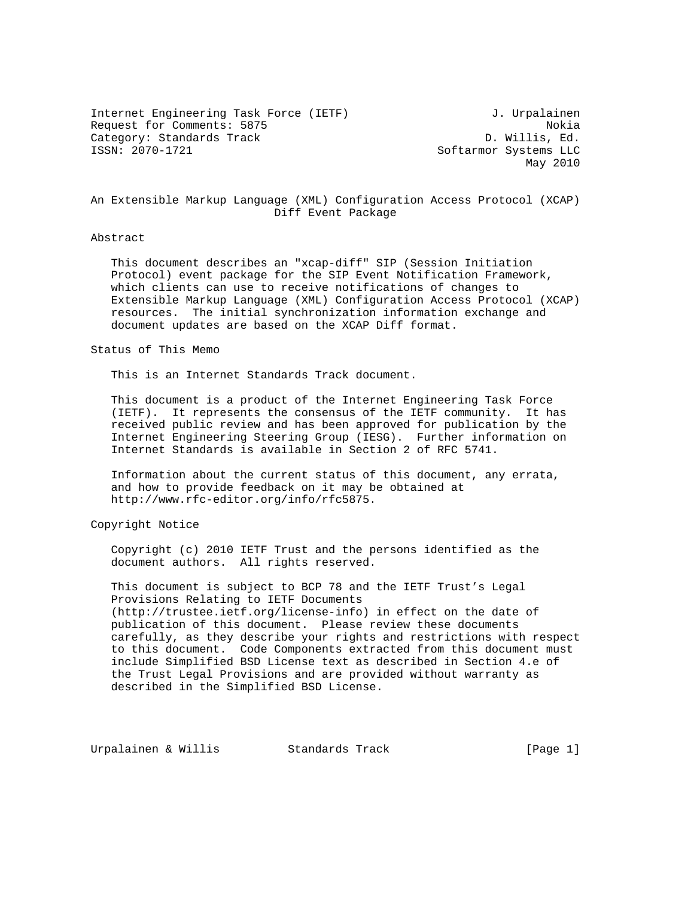Internet Engineering Task Force (IETF) 3. Urpalainen Request for Comments: 5875 Nokia Category: Standards Track D. Willis, Ed.<br>1990-1721 SSN: 2070-1721 SSN: 2000-1721

Softarmor Systems LLC May 2010

# An Extensible Markup Language (XML) Configuration Access Protocol (XCAP) Diff Event Package

## Abstract

 This document describes an "xcap-diff" SIP (Session Initiation Protocol) event package for the SIP Event Notification Framework, which clients can use to receive notifications of changes to Extensible Markup Language (XML) Configuration Access Protocol (XCAP) resources. The initial synchronization information exchange and document updates are based on the XCAP Diff format.

## Status of This Memo

This is an Internet Standards Track document.

 This document is a product of the Internet Engineering Task Force (IETF). It represents the consensus of the IETF community. It has received public review and has been approved for publication by the Internet Engineering Steering Group (IESG). Further information on Internet Standards is available in Section 2 of RFC 5741.

 Information about the current status of this document, any errata, and how to provide feedback on it may be obtained at http://www.rfc-editor.org/info/rfc5875.

Copyright Notice

 Copyright (c) 2010 IETF Trust and the persons identified as the document authors. All rights reserved.

 This document is subject to BCP 78 and the IETF Trust's Legal Provisions Relating to IETF Documents (http://trustee.ietf.org/license-info) in effect on the date of publication of this document. Please review these documents carefully, as they describe your rights and restrictions with respect to this document. Code Components extracted from this document must include Simplified BSD License text as described in Section 4.e of the Trust Legal Provisions and are provided without warranty as described in the Simplified BSD License.

Urpalainen & Willis Standards Track (Page 1)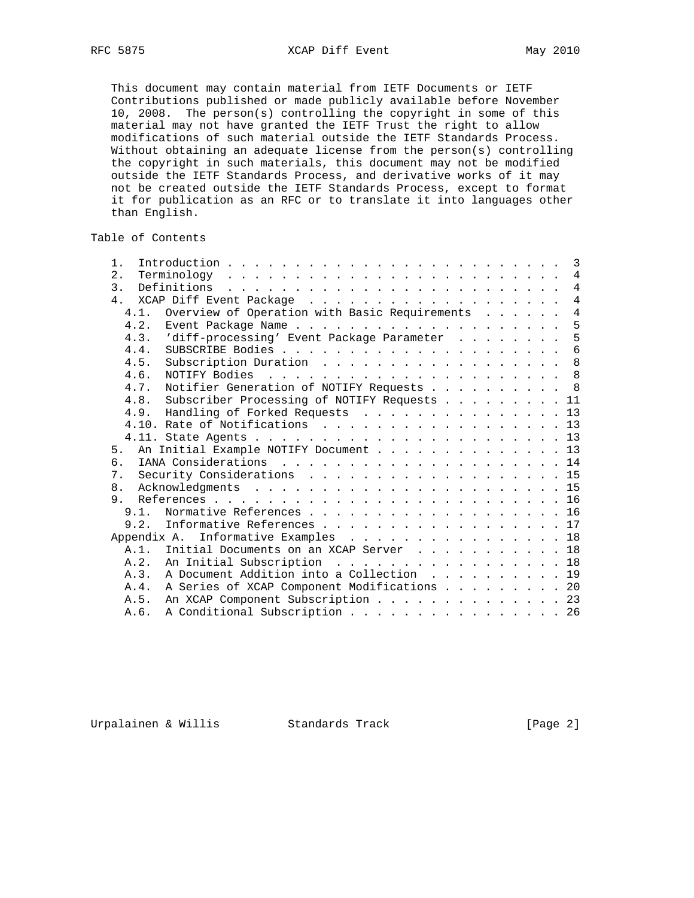This document may contain material from IETF Documents or IETF Contributions published or made publicly available before November 10, 2008. The person(s) controlling the copyright in some of this material may not have granted the IETF Trust the right to allow modifications of such material outside the IETF Standards Process. Without obtaining an adequate license from the person(s) controlling the copyright in such materials, this document may not be modified outside the IETF Standards Process, and derivative works of it may not be created outside the IETF Standards Process, except to format it for publication as an RFC or to translate it into languages other than English.

# Table of Contents

| $1$ .          |                                                  |  |  |  |  |                |
|----------------|--------------------------------------------------|--|--|--|--|----------------|
| 2.             |                                                  |  |  |  |  | $\overline{4}$ |
| $\mathcal{E}$  | Definitions                                      |  |  |  |  | $\overline{4}$ |
| 4 <sub>1</sub> |                                                  |  |  |  |  | $\overline{4}$ |
| 4.1.           | Overview of Operation with Basic Requirements    |  |  |  |  | $\overline{4}$ |
|                |                                                  |  |  |  |  | 5              |
| 4.3.           | 'diff-processing' Event Package Parameter        |  |  |  |  | 5              |
| 4.4.           |                                                  |  |  |  |  |                |
| 4.5.           | Subscription Duration 8                          |  |  |  |  |                |
| 4.6.           |                                                  |  |  |  |  |                |
| 4.7.           | Notifier Generation of NOTIFY Requests 8         |  |  |  |  |                |
|                | 4.8. Subscriber Processing of NOTIFY Requests 11 |  |  |  |  |                |
|                | 4.9. Handling of Forked Requests 13              |  |  |  |  |                |
|                | 4.10. Rate of Notifications 13                   |  |  |  |  |                |
|                |                                                  |  |  |  |  |                |
|                | 5. An Initial Example NOTIFY Document 13         |  |  |  |  |                |
| б.             |                                                  |  |  |  |  |                |
| 7.             | Security Considerations 15                       |  |  |  |  |                |
| 8.             |                                                  |  |  |  |  |                |
| 9              |                                                  |  |  |  |  |                |
|                | 9.1. Normative References 16                     |  |  |  |  |                |
|                | 9.2. Informative References 17                   |  |  |  |  |                |
| Appendix A.    | Informative Examples 18                          |  |  |  |  |                |
|                | A.1. Initial Documents on an XCAP Server 18      |  |  |  |  |                |
|                | A.2. An Initial Subscription 18                  |  |  |  |  |                |
|                | A.3. A Document Addition into a Collection 19    |  |  |  |  |                |
| A.4            | A Series of XCAP Component Modifications 20      |  |  |  |  |                |
| A.5.           | An XCAP Component Subscription 23                |  |  |  |  |                |
| A.6.           | A Conditional Subscription 26                    |  |  |  |  |                |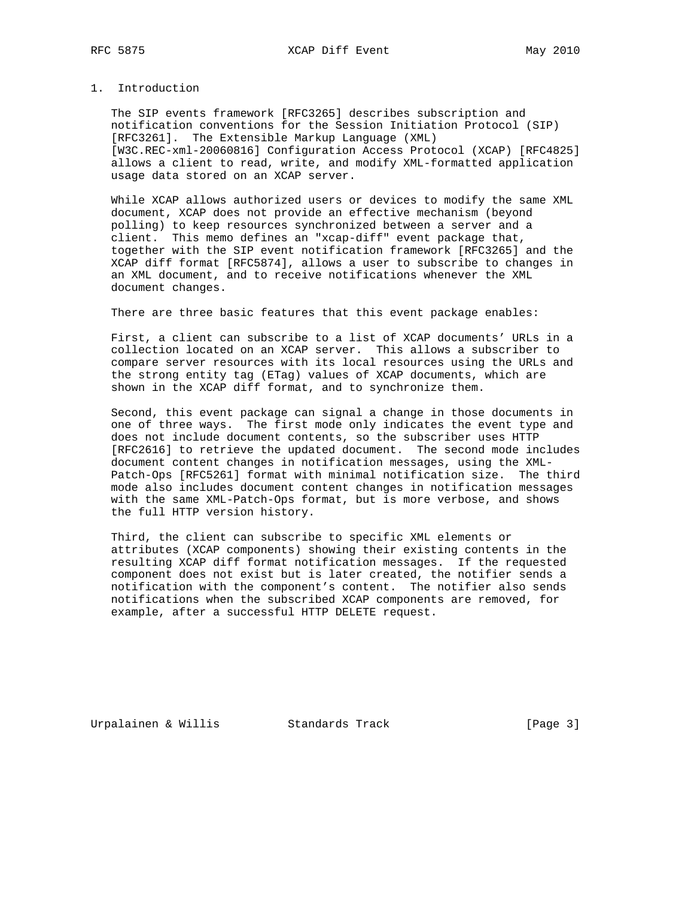# 1. Introduction

 The SIP events framework [RFC3265] describes subscription and notification conventions for the Session Initiation Protocol (SIP) [RFC3261]. The Extensible Markup Language (XML) [W3C.REC-xml-20060816] Configuration Access Protocol (XCAP) [RFC4825] allows a client to read, write, and modify XML-formatted application usage data stored on an XCAP server.

 While XCAP allows authorized users or devices to modify the same XML document, XCAP does not provide an effective mechanism (beyond polling) to keep resources synchronized between a server and a client. This memo defines an "xcap-diff" event package that, together with the SIP event notification framework [RFC3265] and the XCAP diff format [RFC5874], allows a user to subscribe to changes in an XML document, and to receive notifications whenever the XML document changes.

There are three basic features that this event package enables:

 First, a client can subscribe to a list of XCAP documents' URLs in a collection located on an XCAP server. This allows a subscriber to compare server resources with its local resources using the URLs and the strong entity tag (ETag) values of XCAP documents, which are shown in the XCAP diff format, and to synchronize them.

 Second, this event package can signal a change in those documents in one of three ways. The first mode only indicates the event type and does not include document contents, so the subscriber uses HTTP [RFC2616] to retrieve the updated document. The second mode includes document content changes in notification messages, using the XML- Patch-Ops [RFC5261] format with minimal notification size. The third mode also includes document content changes in notification messages with the same XML-Patch-Ops format, but is more verbose, and shows the full HTTP version history.

 Third, the client can subscribe to specific XML elements or attributes (XCAP components) showing their existing contents in the resulting XCAP diff format notification messages. If the requested component does not exist but is later created, the notifier sends a notification with the component's content. The notifier also sends notifications when the subscribed XCAP components are removed, for example, after a successful HTTP DELETE request.

Urpalainen & Willis Standards Track (Page 3)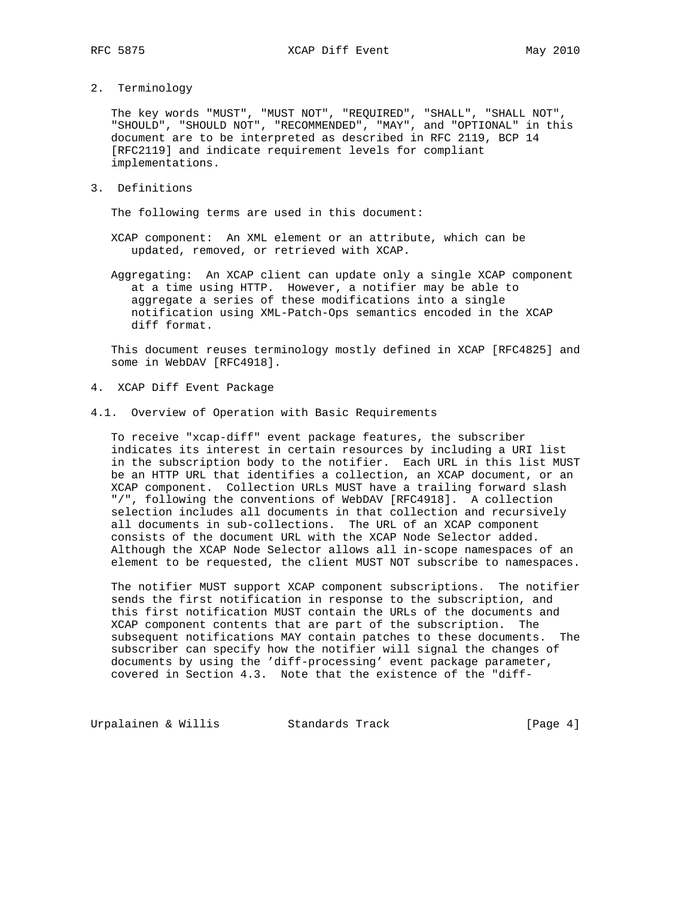2. Terminology

 The key words "MUST", "MUST NOT", "REQUIRED", "SHALL", "SHALL NOT", "SHOULD", "SHOULD NOT", "RECOMMENDED", "MAY", and "OPTIONAL" in this document are to be interpreted as described in RFC 2119, BCP 14 [RFC2119] and indicate requirement levels for compliant implementations.

3. Definitions

The following terms are used in this document:

- XCAP component: An XML element or an attribute, which can be updated, removed, or retrieved with XCAP.
- Aggregating: An XCAP client can update only a single XCAP component at a time using HTTP. However, a notifier may be able to aggregate a series of these modifications into a single notification using XML-Patch-Ops semantics encoded in the XCAP diff format.

 This document reuses terminology mostly defined in XCAP [RFC4825] and some in WebDAV [RFC4918].

- 4. XCAP Diff Event Package
- 4.1. Overview of Operation with Basic Requirements

 To receive "xcap-diff" event package features, the subscriber indicates its interest in certain resources by including a URI list in the subscription body to the notifier. Each URL in this list MUST be an HTTP URL that identifies a collection, an XCAP document, or an XCAP component. Collection URLs MUST have a trailing forward slash "/", following the conventions of WebDAV [RFC4918]. A collection selection includes all documents in that collection and recursively all documents in sub-collections. The URL of an XCAP component consists of the document URL with the XCAP Node Selector added. Although the XCAP Node Selector allows all in-scope namespaces of an element to be requested, the client MUST NOT subscribe to namespaces.

 The notifier MUST support XCAP component subscriptions. The notifier sends the first notification in response to the subscription, and this first notification MUST contain the URLs of the documents and XCAP component contents that are part of the subscription. The subsequent notifications MAY contain patches to these documents. The subscriber can specify how the notifier will signal the changes of documents by using the 'diff-processing' event package parameter, covered in Section 4.3. Note that the existence of the "diff-

Urpalainen & Willis Standards Track [Page 4]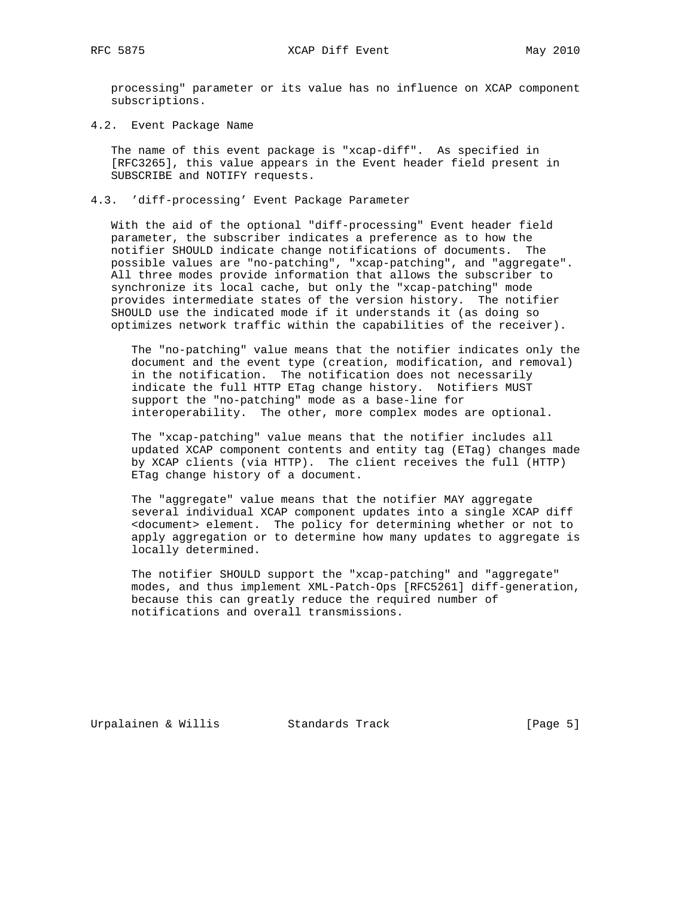RFC 5875 XCAP Diff Event May 2010

 processing" parameter or its value has no influence on XCAP component subscriptions.

4.2. Event Package Name

 The name of this event package is "xcap-diff". As specified in [RFC3265], this value appears in the Event header field present in SUBSCRIBE and NOTIFY requests.

# 4.3. 'diff-processing' Event Package Parameter

 With the aid of the optional "diff-processing" Event header field parameter, the subscriber indicates a preference as to how the notifier SHOULD indicate change notifications of documents. The possible values are "no-patching", "xcap-patching", and "aggregate". All three modes provide information that allows the subscriber to synchronize its local cache, but only the "xcap-patching" mode provides intermediate states of the version history. The notifier SHOULD use the indicated mode if it understands it (as doing so optimizes network traffic within the capabilities of the receiver).

 The "no-patching" value means that the notifier indicates only the document and the event type (creation, modification, and removal) in the notification. The notification does not necessarily indicate the full HTTP ETag change history. Notifiers MUST support the "no-patching" mode as a base-line for interoperability. The other, more complex modes are optional.

 The "xcap-patching" value means that the notifier includes all updated XCAP component contents and entity tag (ETag) changes made by XCAP clients (via HTTP). The client receives the full (HTTP) ETag change history of a document.

 The "aggregate" value means that the notifier MAY aggregate several individual XCAP component updates into a single XCAP diff <document> element. The policy for determining whether or not to apply aggregation or to determine how many updates to aggregate is locally determined.

 The notifier SHOULD support the "xcap-patching" and "aggregate" modes, and thus implement XML-Patch-Ops [RFC5261] diff-generation, because this can greatly reduce the required number of notifications and overall transmissions.

Urpalainen & Willis Standards Track (Page 5)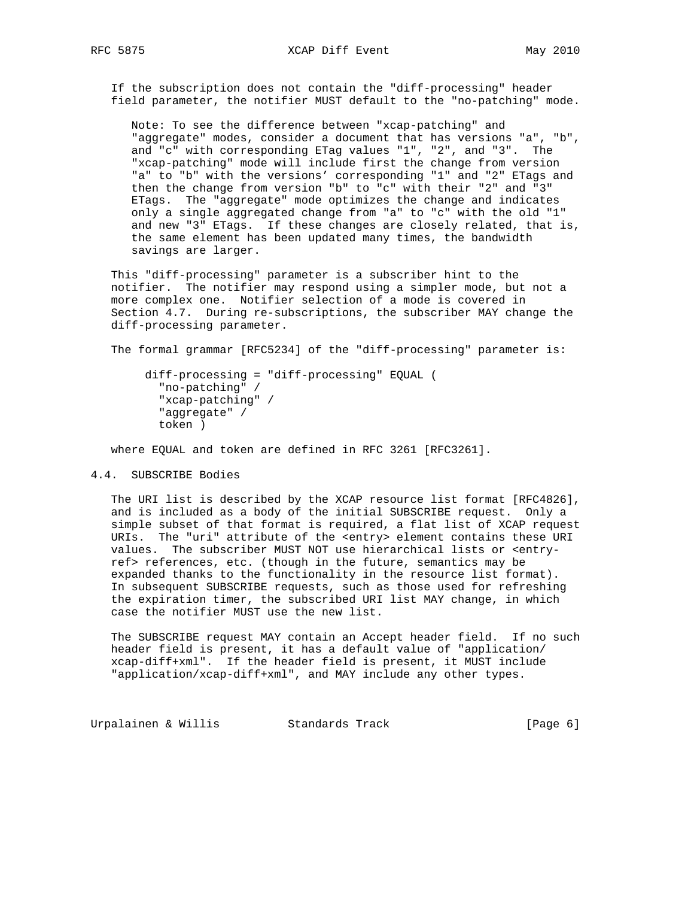If the subscription does not contain the "diff-processing" header field parameter, the notifier MUST default to the "no-patching" mode.

 Note: To see the difference between "xcap-patching" and "aggregate" modes, consider a document that has versions "a", "b", and "c" with corresponding ETag values "1", "2", and "3". The "xcap-patching" mode will include first the change from version "a" to "b" with the versions' corresponding "1" and "2" ETags and then the change from version "b" to "c" with their "2" and "3" ETags. The "aggregate" mode optimizes the change and indicates only a single aggregated change from "a" to "c" with the old "1" and new "3" ETags. If these changes are closely related, that is, the same element has been updated many times, the bandwidth savings are larger.

 This "diff-processing" parameter is a subscriber hint to the notifier. The notifier may respond using a simpler mode, but not a more complex one. Notifier selection of a mode is covered in Section 4.7. During re-subscriptions, the subscriber MAY change the diff-processing parameter.

The formal grammar [RFC5234] of the "diff-processing" parameter is:

 diff-processing = "diff-processing" EQUAL ( "no-patching" / "xcap-patching" / "aggregate" / token )

where EQUAL and token are defined in RFC 3261 [RFC3261].

#### 4.4. SUBSCRIBE Bodies

 The URI list is described by the XCAP resource list format [RFC4826], and is included as a body of the initial SUBSCRIBE request. Only a simple subset of that format is required, a flat list of XCAP request URIs. The "uri" attribute of the <entry> element contains these URI values. The subscriber MUST NOT use hierarchical lists or <entry ref> references, etc. (though in the future, semantics may be expanded thanks to the functionality in the resource list format). In subsequent SUBSCRIBE requests, such as those used for refreshing the expiration timer, the subscribed URI list MAY change, in which case the notifier MUST use the new list.

 The SUBSCRIBE request MAY contain an Accept header field. If no such header field is present, it has a default value of "application/ xcap-diff+xml". If the header field is present, it MUST include "application/xcap-diff+xml", and MAY include any other types.

Urpalainen & Willis Standards Track (Page 6)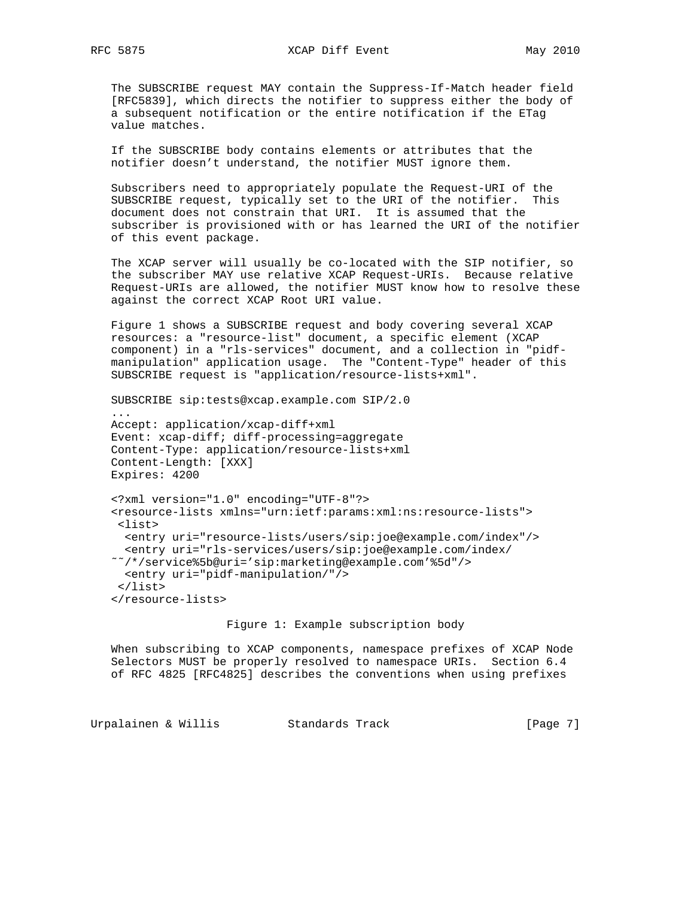The SUBSCRIBE request MAY contain the Suppress-If-Match header field [RFC5839], which directs the notifier to suppress either the body of a subsequent notification or the entire notification if the ETag value matches.

 If the SUBSCRIBE body contains elements or attributes that the notifier doesn't understand, the notifier MUST ignore them.

 Subscribers need to appropriately populate the Request-URI of the SUBSCRIBE request, typically set to the URI of the notifier. This document does not constrain that URI. It is assumed that the subscriber is provisioned with or has learned the URI of the notifier of this event package.

 The XCAP server will usually be co-located with the SIP notifier, so the subscriber MAY use relative XCAP Request-URIs. Because relative Request-URIs are allowed, the notifier MUST know how to resolve these against the correct XCAP Root URI value.

 Figure 1 shows a SUBSCRIBE request and body covering several XCAP resources: a "resource-list" document, a specific element (XCAP component) in a "rls-services" document, and a collection in "pidf manipulation" application usage. The "Content-Type" header of this SUBSCRIBE request is "application/resource-lists+xml".

 SUBSCRIBE sip:tests@xcap.example.com SIP/2.0 ... Accept: application/xcap-diff+xml Event: xcap-diff; diff-processing=aggregate Content-Type: application/resource-lists+xml Content-Length: [XXX] Expires: 4200 <?xml version="1.0" encoding="UTF-8"?> <resource-lists xmlns="urn:ietf:params:xml:ns:resource-lists"> <list> <entry uri="resource-lists/users/sip:joe@example.com/index"/>

 <entry uri="rls-services/users/sip:joe@example.com/index/ ˜˜/\*/service%5b@uri='sip:marketing@example.com'%5d"/> <entry uri="pidf-manipulation/"/> </list> </resource-lists>

# Figure 1: Example subscription body

 When subscribing to XCAP components, namespace prefixes of XCAP Node Selectors MUST be properly resolved to namespace URIs. Section 6.4 of RFC 4825 [RFC4825] describes the conventions when using prefixes

Urpalainen & Willis Standards Track (Page 7)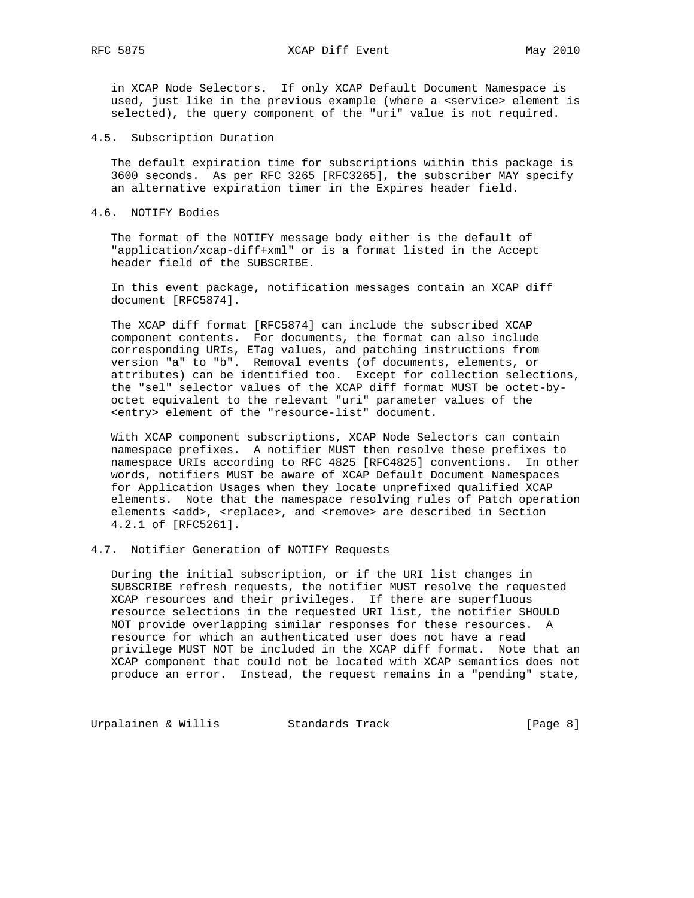in XCAP Node Selectors. If only XCAP Default Document Namespace is used, just like in the previous example (where a <service> element is selected), the query component of the "uri" value is not required.

4.5. Subscription Duration

 The default expiration time for subscriptions within this package is 3600 seconds. As per RFC 3265 [RFC3265], the subscriber MAY specify an alternative expiration timer in the Expires header field.

4.6. NOTIFY Bodies

 The format of the NOTIFY message body either is the default of "application/xcap-diff+xml" or is a format listed in the Accept header field of the SUBSCRIBE.

 In this event package, notification messages contain an XCAP diff document [RFC5874].

 The XCAP diff format [RFC5874] can include the subscribed XCAP component contents. For documents, the format can also include corresponding URIs, ETag values, and patching instructions from version "a" to "b". Removal events (of documents, elements, or attributes) can be identified too. Except for collection selections, the "sel" selector values of the XCAP diff format MUST be octet-by octet equivalent to the relevant "uri" parameter values of the <entry> element of the "resource-list" document.

 With XCAP component subscriptions, XCAP Node Selectors can contain namespace prefixes. A notifier MUST then resolve these prefixes to namespace URIs according to RFC 4825 [RFC4825] conventions. In other words, notifiers MUST be aware of XCAP Default Document Namespaces for Application Usages when they locate unprefixed qualified XCAP elements. Note that the namespace resolving rules of Patch operation elements <add>, <replace>, and <remove> are described in Section 4.2.1 of [RFC5261].

4.7. Notifier Generation of NOTIFY Requests

 During the initial subscription, or if the URI list changes in SUBSCRIBE refresh requests, the notifier MUST resolve the requested XCAP resources and their privileges. If there are superfluous resource selections in the requested URI list, the notifier SHOULD NOT provide overlapping similar responses for these resources. A resource for which an authenticated user does not have a read privilege MUST NOT be included in the XCAP diff format. Note that an XCAP component that could not be located with XCAP semantics does not produce an error. Instead, the request remains in a "pending" state,

Urpalainen & Willis Standards Track (Page 8)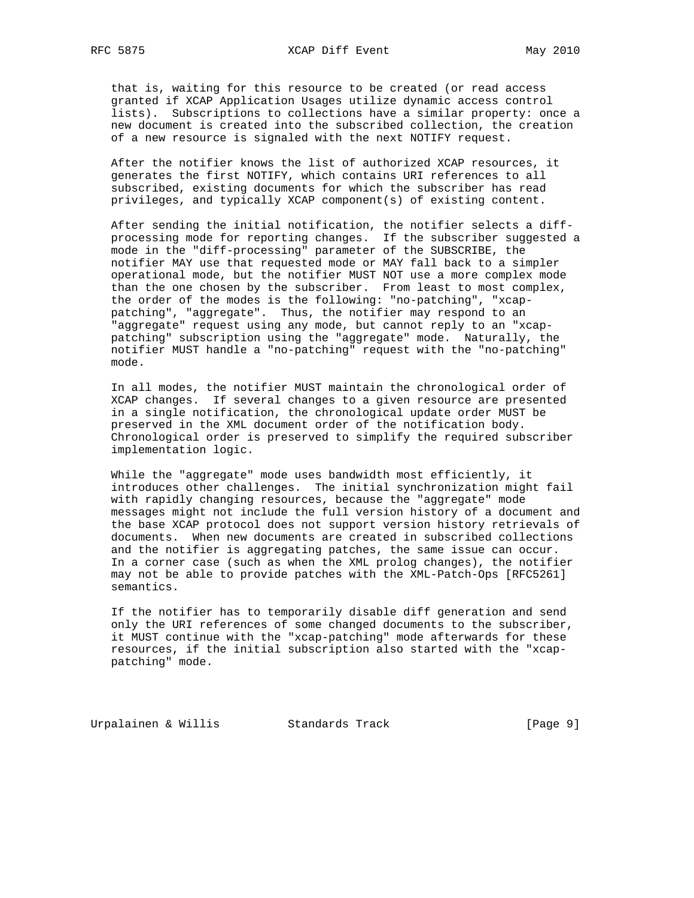that is, waiting for this resource to be created (or read access granted if XCAP Application Usages utilize dynamic access control lists). Subscriptions to collections have a similar property: once a new document is created into the subscribed collection, the creation of a new resource is signaled with the next NOTIFY request.

 After the notifier knows the list of authorized XCAP resources, it generates the first NOTIFY, which contains URI references to all subscribed, existing documents for which the subscriber has read privileges, and typically XCAP component(s) of existing content.

 After sending the initial notification, the notifier selects a diff processing mode for reporting changes. If the subscriber suggested a mode in the "diff-processing" parameter of the SUBSCRIBE, the notifier MAY use that requested mode or MAY fall back to a simpler operational mode, but the notifier MUST NOT use a more complex mode than the one chosen by the subscriber. From least to most complex, the order of the modes is the following: "no-patching", "xcap patching", "aggregate". Thus, the notifier may respond to an "aggregate" request using any mode, but cannot reply to an "xcap patching" subscription using the "aggregate" mode. Naturally, the notifier MUST handle a "no-patching" request with the "no-patching" mode.

 In all modes, the notifier MUST maintain the chronological order of XCAP changes. If several changes to a given resource are presented in a single notification, the chronological update order MUST be preserved in the XML document order of the notification body. Chronological order is preserved to simplify the required subscriber implementation logic.

 While the "aggregate" mode uses bandwidth most efficiently, it introduces other challenges. The initial synchronization might fail with rapidly changing resources, because the "aggregate" mode messages might not include the full version history of a document and the base XCAP protocol does not support version history retrievals of documents. When new documents are created in subscribed collections and the notifier is aggregating patches, the same issue can occur. In a corner case (such as when the XML prolog changes), the notifier may not be able to provide patches with the XML-Patch-Ops [RFC5261] semantics.

 If the notifier has to temporarily disable diff generation and send only the URI references of some changed documents to the subscriber, it MUST continue with the "xcap-patching" mode afterwards for these resources, if the initial subscription also started with the "xcap patching" mode.

Urpalainen & Willis Standards Track [Page 9]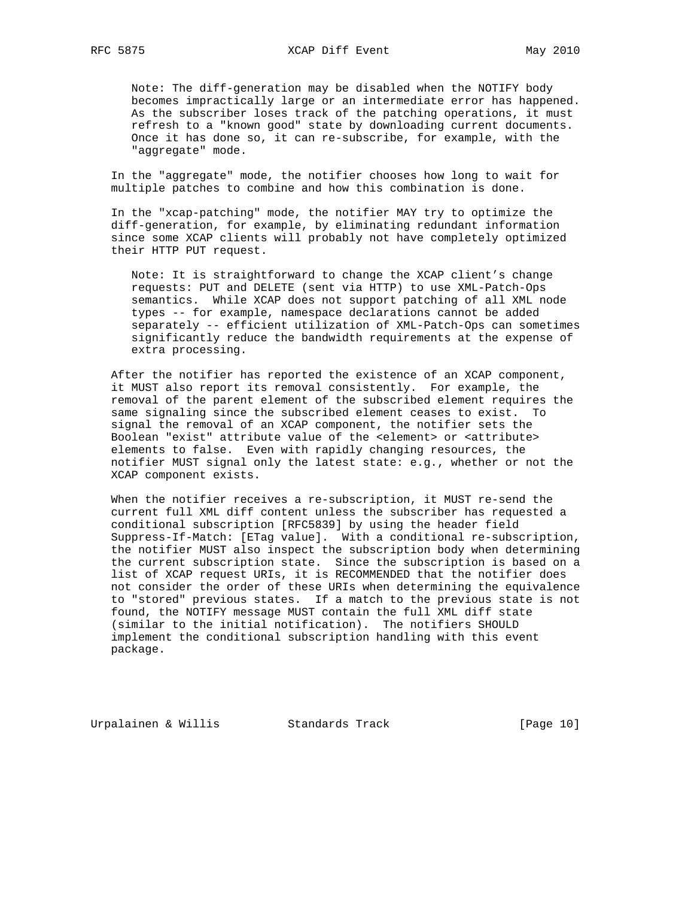Note: The diff-generation may be disabled when the NOTIFY body becomes impractically large or an intermediate error has happened. As the subscriber loses track of the patching operations, it must refresh to a "known good" state by downloading current documents. Once it has done so, it can re-subscribe, for example, with the "aggregate" mode.

 In the "aggregate" mode, the notifier chooses how long to wait for multiple patches to combine and how this combination is done.

 In the "xcap-patching" mode, the notifier MAY try to optimize the diff-generation, for example, by eliminating redundant information since some XCAP clients will probably not have completely optimized their HTTP PUT request.

 Note: It is straightforward to change the XCAP client's change requests: PUT and DELETE (sent via HTTP) to use XML-Patch-Ops semantics. While XCAP does not support patching of all XML node types -- for example, namespace declarations cannot be added separately -- efficient utilization of XML-Patch-Ops can sometimes significantly reduce the bandwidth requirements at the expense of extra processing.

 After the notifier has reported the existence of an XCAP component, it MUST also report its removal consistently. For example, the removal of the parent element of the subscribed element requires the same signaling since the subscribed element ceases to exist. To signal the removal of an XCAP component, the notifier sets the Boolean "exist" attribute value of the <element> or <attribute> elements to false. Even with rapidly changing resources, the notifier MUST signal only the latest state: e.g., whether or not the XCAP component exists.

 When the notifier receives a re-subscription, it MUST re-send the current full XML diff content unless the subscriber has requested a conditional subscription [RFC5839] by using the header field Suppress-If-Match: [ETag value]. With a conditional re-subscription, the notifier MUST also inspect the subscription body when determining the current subscription state. Since the subscription is based on a list of XCAP request URIs, it is RECOMMENDED that the notifier does not consider the order of these URIs when determining the equivalence to "stored" previous states. If a match to the previous state is not found, the NOTIFY message MUST contain the full XML diff state (similar to the initial notification). The notifiers SHOULD implement the conditional subscription handling with this event package.

Urpalainen & Willis Standards Track [Page 10]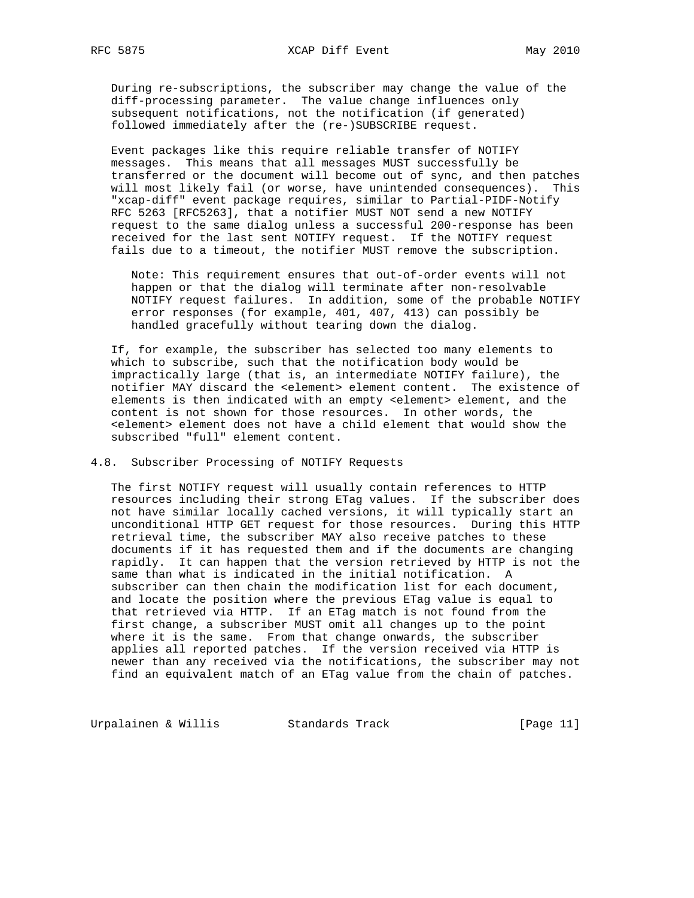During re-subscriptions, the subscriber may change the value of the diff-processing parameter. The value change influences only subsequent notifications, not the notification (if generated) followed immediately after the (re-)SUBSCRIBE request.

 Event packages like this require reliable transfer of NOTIFY messages. This means that all messages MUST successfully be transferred or the document will become out of sync, and then patches will most likely fail (or worse, have unintended consequences). This "xcap-diff" event package requires, similar to Partial-PIDF-Notify RFC 5263 [RFC5263], that a notifier MUST NOT send a new NOTIFY request to the same dialog unless a successful 200-response has been received for the last sent NOTIFY request. If the NOTIFY request fails due to a timeout, the notifier MUST remove the subscription.

 Note: This requirement ensures that out-of-order events will not happen or that the dialog will terminate after non-resolvable NOTIFY request failures. In addition, some of the probable NOTIFY error responses (for example, 401, 407, 413) can possibly be handled gracefully without tearing down the dialog.

 If, for example, the subscriber has selected too many elements to which to subscribe, such that the notification body would be impractically large (that is, an intermediate NOTIFY failure), the notifier MAY discard the <element> element content. The existence of elements is then indicated with an empty <element> element, and the content is not shown for those resources. In other words, the <element> element does not have a child element that would show the subscribed "full" element content.

## 4.8. Subscriber Processing of NOTIFY Requests

 The first NOTIFY request will usually contain references to HTTP resources including their strong ETag values. If the subscriber does not have similar locally cached versions, it will typically start an unconditional HTTP GET request for those resources. During this HTTP retrieval time, the subscriber MAY also receive patches to these documents if it has requested them and if the documents are changing rapidly. It can happen that the version retrieved by HTTP is not the same than what is indicated in the initial notification. A subscriber can then chain the modification list for each document, and locate the position where the previous ETag value is equal to that retrieved via HTTP. If an ETag match is not found from the first change, a subscriber MUST omit all changes up to the point where it is the same. From that change onwards, the subscriber applies all reported patches. If the version received via HTTP is newer than any received via the notifications, the subscriber may not find an equivalent match of an ETag value from the chain of patches.

Urpalainen & Willis Standards Track [Page 11]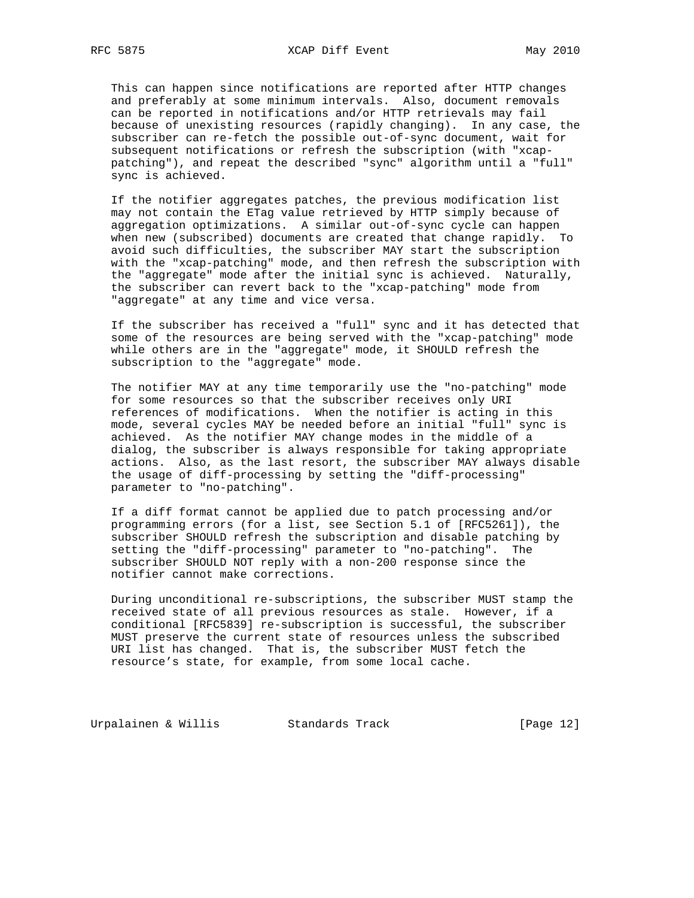This can happen since notifications are reported after HTTP changes and preferably at some minimum intervals. Also, document removals can be reported in notifications and/or HTTP retrievals may fail because of unexisting resources (rapidly changing). In any case, the subscriber can re-fetch the possible out-of-sync document, wait for subsequent notifications or refresh the subscription (with "xcap patching"), and repeat the described "sync" algorithm until a "full" sync is achieved.

 If the notifier aggregates patches, the previous modification list may not contain the ETag value retrieved by HTTP simply because of aggregation optimizations. A similar out-of-sync cycle can happen when new (subscribed) documents are created that change rapidly. To avoid such difficulties, the subscriber MAY start the subscription with the "xcap-patching" mode, and then refresh the subscription with the "aggregate" mode after the initial sync is achieved. Naturally, the subscriber can revert back to the "xcap-patching" mode from "aggregate" at any time and vice versa.

 If the subscriber has received a "full" sync and it has detected that some of the resources are being served with the "xcap-patching" mode while others are in the "aggregate" mode, it SHOULD refresh the subscription to the "aggregate" mode.

 The notifier MAY at any time temporarily use the "no-patching" mode for some resources so that the subscriber receives only URI references of modifications. When the notifier is acting in this mode, several cycles MAY be needed before an initial "full" sync is achieved. As the notifier MAY change modes in the middle of a dialog, the subscriber is always responsible for taking appropriate actions. Also, as the last resort, the subscriber MAY always disable the usage of diff-processing by setting the "diff-processing" parameter to "no-patching".

 If a diff format cannot be applied due to patch processing and/or programming errors (for a list, see Section 5.1 of [RFC5261]), the subscriber SHOULD refresh the subscription and disable patching by setting the "diff-processing" parameter to "no-patching". The subscriber SHOULD NOT reply with a non-200 response since the notifier cannot make corrections.

 During unconditional re-subscriptions, the subscriber MUST stamp the received state of all previous resources as stale. However, if a conditional [RFC5839] re-subscription is successful, the subscriber MUST preserve the current state of resources unless the subscribed URI list has changed. That is, the subscriber MUST fetch the resource's state, for example, from some local cache.

Urpalainen & Willis Standards Track [Page 12]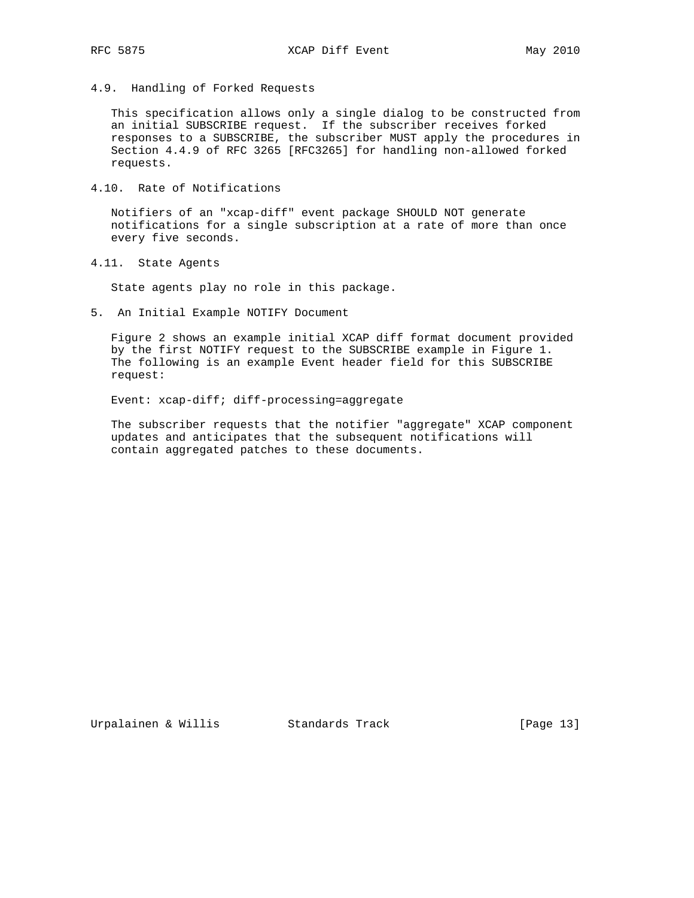4.9. Handling of Forked Requests

 This specification allows only a single dialog to be constructed from an initial SUBSCRIBE request. If the subscriber receives forked responses to a SUBSCRIBE, the subscriber MUST apply the procedures in Section 4.4.9 of RFC 3265 [RFC3265] for handling non-allowed forked requests.

4.10. Rate of Notifications

 Notifiers of an "xcap-diff" event package SHOULD NOT generate notifications for a single subscription at a rate of more than once every five seconds.

4.11. State Agents

State agents play no role in this package.

5. An Initial Example NOTIFY Document

 Figure 2 shows an example initial XCAP diff format document provided by the first NOTIFY request to the SUBSCRIBE example in Figure 1. The following is an example Event header field for this SUBSCRIBE request:

Event: xcap-diff; diff-processing=aggregate

 The subscriber requests that the notifier "aggregate" XCAP component updates and anticipates that the subsequent notifications will contain aggregated patches to these documents.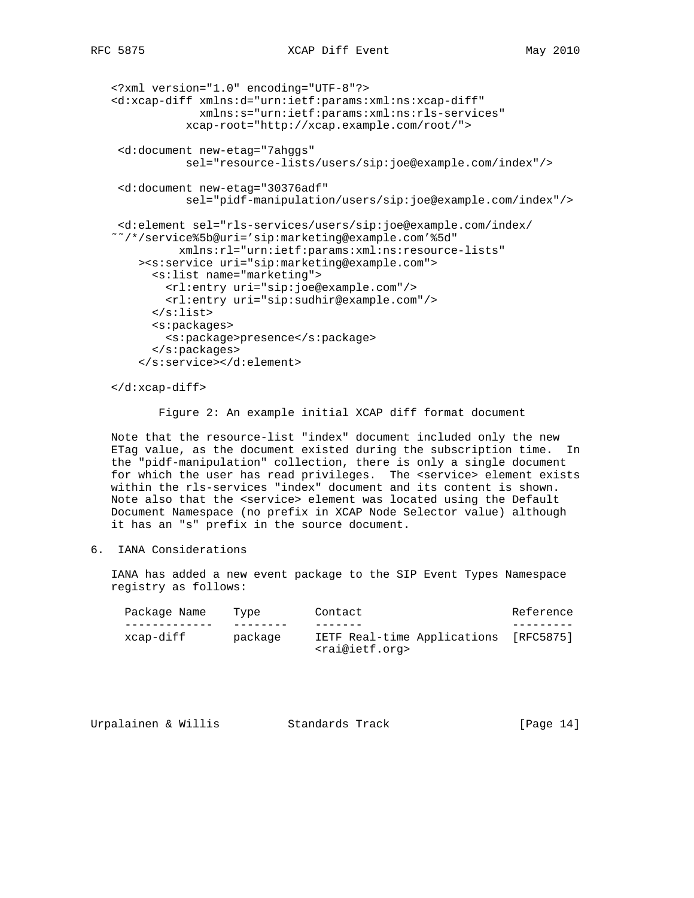```
 <?xml version="1.0" encoding="UTF-8"?>
 <d:xcap-diff xmlns:d="urn:ietf:params:xml:ns:xcap-diff"
              xmlns:s="urn:ietf:params:xml:ns:rls-services"
            xcap-root="http://xcap.example.com/root/">
  <d:document new-etag="7ahggs"
            sel="resource-lists/users/sip:joe@example.com/index"/>
  <d:document new-etag="30376adf"
            sel="pidf-manipulation/users/sip:joe@example.com/index"/>
  <d:element sel="rls-services/users/sip:joe@example.com/index/
 ˜˜/*/service%5b@uri='sip:marketing@example.com'%5d"
           xmlns:rl="urn:ietf:params:xml:ns:resource-lists"
     ><s:service uri="sip:marketing@example.com">
       <s:list name="marketing">
         <rl:entry uri="sip:joe@example.com"/>
         <rl:entry uri="sip:sudhir@example.com"/>
       </s:list>
       <s:packages>
         <s:package>presence</s:package>
       </s:packages>
     </s:service></d:element>
```
</d:xcap-diff>

Figure 2: An example initial XCAP diff format document

 Note that the resource-list "index" document included only the new ETag value, as the document existed during the subscription time. In the "pidf-manipulation" collection, there is only a single document for which the user has read privileges. The <service> element exists within the rls-services "index" document and its content is shown. Note also that the <service> element was located using the Default Document Namespace (no prefix in XCAP Node Selector value) although it has an "s" prefix in the source document.

6. IANA Considerations

 IANA has added a new event package to the SIP Event Types Namespace registry as follows:

| Package Name | Type    | Contact                                                                | Reference |
|--------------|---------|------------------------------------------------------------------------|-----------|
|              |         |                                                                        |           |
| xcap-diff    | package | IETF Real-time Applications [RFC5875]<br><rai@ietf.org></rai@ietf.org> |           |

| Urpalainen & Willis | Standards Track | [Page $14$ ] |
|---------------------|-----------------|--------------|
|---------------------|-----------------|--------------|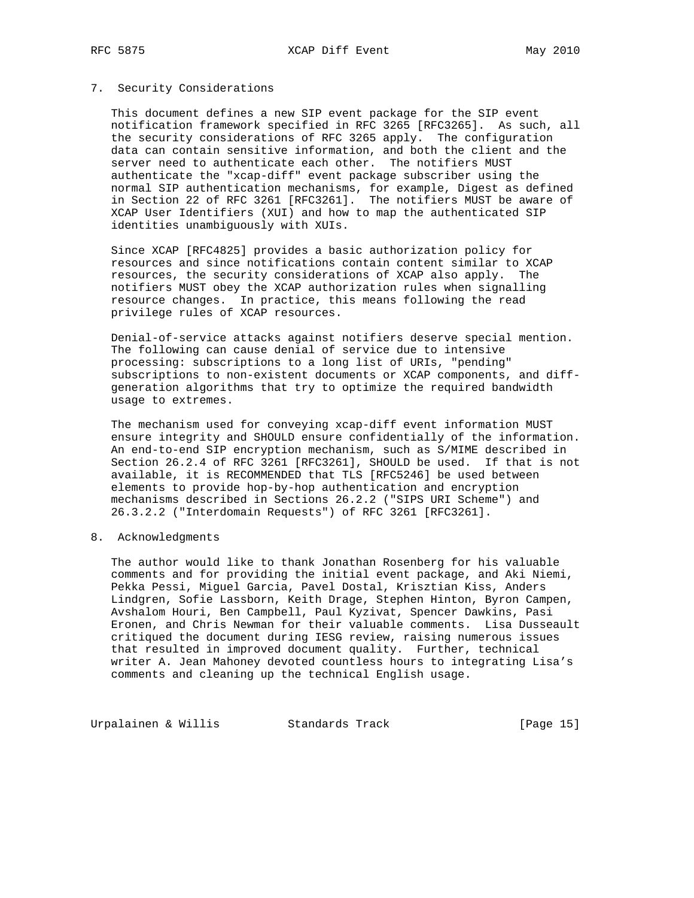### 7. Security Considerations

 This document defines a new SIP event package for the SIP event notification framework specified in RFC 3265 [RFC3265]. As such, all the security considerations of RFC 3265 apply. The configuration data can contain sensitive information, and both the client and the server need to authenticate each other. The notifiers MUST authenticate the "xcap-diff" event package subscriber using the normal SIP authentication mechanisms, for example, Digest as defined in Section 22 of RFC 3261 [RFC3261]. The notifiers MUST be aware of XCAP User Identifiers (XUI) and how to map the authenticated SIP identities unambiguously with XUIs.

 Since XCAP [RFC4825] provides a basic authorization policy for resources and since notifications contain content similar to XCAP resources, the security considerations of XCAP also apply. The notifiers MUST obey the XCAP authorization rules when signalling resource changes. In practice, this means following the read privilege rules of XCAP resources.

 Denial-of-service attacks against notifiers deserve special mention. The following can cause denial of service due to intensive processing: subscriptions to a long list of URIs, "pending" subscriptions to non-existent documents or XCAP components, and diff generation algorithms that try to optimize the required bandwidth usage to extremes.

 The mechanism used for conveying xcap-diff event information MUST ensure integrity and SHOULD ensure confidentially of the information. An end-to-end SIP encryption mechanism, such as S/MIME described in Section 26.2.4 of RFC 3261 [RFC3261], SHOULD be used. If that is not available, it is RECOMMENDED that TLS [RFC5246] be used between elements to provide hop-by-hop authentication and encryption mechanisms described in Sections 26.2.2 ("SIPS URI Scheme") and 26.3.2.2 ("Interdomain Requests") of RFC 3261 [RFC3261].

### 8. Acknowledgments

 The author would like to thank Jonathan Rosenberg for his valuable comments and for providing the initial event package, and Aki Niemi, Pekka Pessi, Miguel Garcia, Pavel Dostal, Krisztian Kiss, Anders Lindgren, Sofie Lassborn, Keith Drage, Stephen Hinton, Byron Campen, Avshalom Houri, Ben Campbell, Paul Kyzivat, Spencer Dawkins, Pasi Eronen, and Chris Newman for their valuable comments. Lisa Dusseault critiqued the document during IESG review, raising numerous issues that resulted in improved document quality. Further, technical writer A. Jean Mahoney devoted countless hours to integrating Lisa's comments and cleaning up the technical English usage.

Urpalainen & Willis Standards Track [Page 15]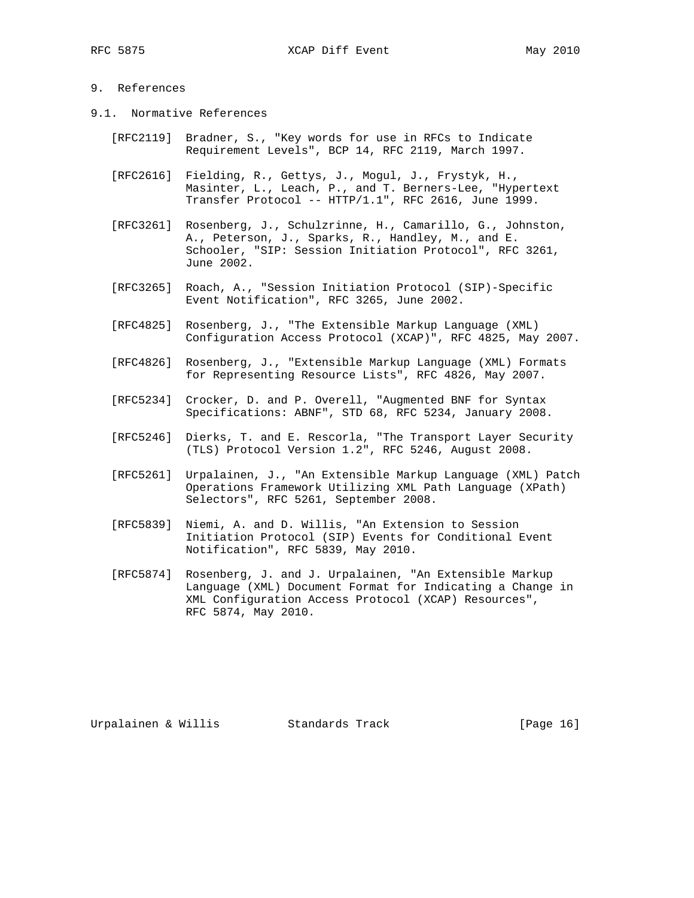# 9. References

- 9.1. Normative References
	- [RFC2119] Bradner, S., "Key words for use in RFCs to Indicate Requirement Levels", BCP 14, RFC 2119, March 1997.
	- [RFC2616] Fielding, R., Gettys, J., Mogul, J., Frystyk, H., Masinter, L., Leach, P., and T. Berners-Lee, "Hypertext Transfer Protocol -- HTTP/1.1", RFC 2616, June 1999.
	- [RFC3261] Rosenberg, J., Schulzrinne, H., Camarillo, G., Johnston, A., Peterson, J., Sparks, R., Handley, M., and E. Schooler, "SIP: Session Initiation Protocol", RFC 3261, June 2002.
	- [RFC3265] Roach, A., "Session Initiation Protocol (SIP)-Specific Event Notification", RFC 3265, June 2002.
	- [RFC4825] Rosenberg, J., "The Extensible Markup Language (XML) Configuration Access Protocol (XCAP)", RFC 4825, May 2007.
	- [RFC4826] Rosenberg, J., "Extensible Markup Language (XML) Formats for Representing Resource Lists", RFC 4826, May 2007.
	- [RFC5234] Crocker, D. and P. Overell, "Augmented BNF for Syntax Specifications: ABNF", STD 68, RFC 5234, January 2008.
	- [RFC5246] Dierks, T. and E. Rescorla, "The Transport Layer Security (TLS) Protocol Version 1.2", RFC 5246, August 2008.
	- [RFC5261] Urpalainen, J., "An Extensible Markup Language (XML) Patch Operations Framework Utilizing XML Path Language (XPath) Selectors", RFC 5261, September 2008.
	- [RFC5839] Niemi, A. and D. Willis, "An Extension to Session Initiation Protocol (SIP) Events for Conditional Event Notification", RFC 5839, May 2010.
	- [RFC5874] Rosenberg, J. and J. Urpalainen, "An Extensible Markup Language (XML) Document Format for Indicating a Change in XML Configuration Access Protocol (XCAP) Resources", RFC 5874, May 2010.

Urpalainen & Willis Standards Track [Page 16]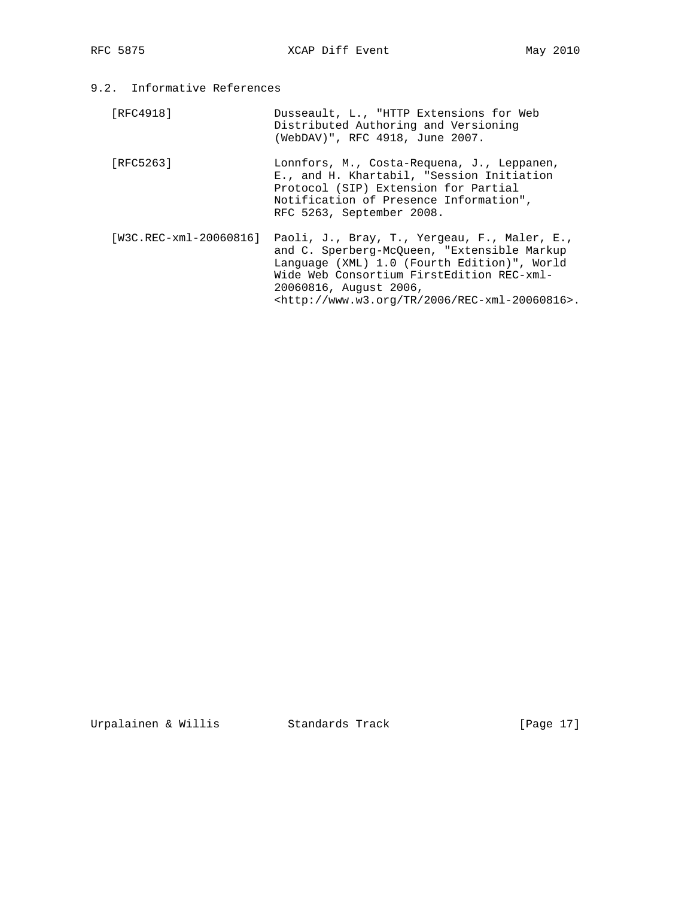9.2. Informative References

 [RFC4918] Dusseault, L., "HTTP Extensions for Web Distributed Authoring and Versioning (WebDAV)", RFC 4918, June 2007.

- [RFC5263] Lonnfors, M., Costa-Requena, J., Leppanen, E., and H. Khartabil, "Session Initiation Protocol (SIP) Extension for Partial Notification of Presence Information", RFC 5263, September 2008.
- [W3C.REC-xml-20060816] Paoli, J., Bray, T., Yergeau, F., Maler, E., and C. Sperberg-McQueen, "Extensible Markup Language (XML) 1.0 (Fourth Edition)", World Wide Web Consortium FirstEdition REC-xml- 20060816, August 2006, <http://www.w3.org/TR/2006/REC-xml-20060816>.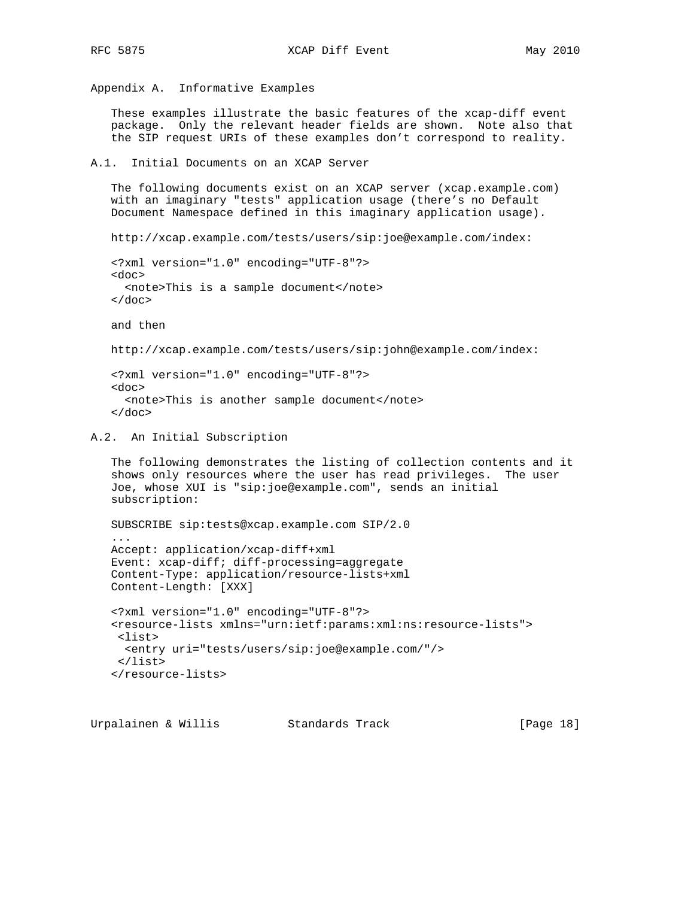Appendix A. Informative Examples

 These examples illustrate the basic features of the xcap-diff event package. Only the relevant header fields are shown. Note also that the SIP request URIs of these examples don't correspond to reality.

```
A.1. Initial Documents on an XCAP Server
```
 The following documents exist on an XCAP server (xcap.example.com) with an imaginary "tests" application usage (there's no Default Document Namespace defined in this imaginary application usage).

http://xcap.example.com/tests/users/sip:joe@example.com/index:

```
 <?xml version="1.0" encoding="UTF-8"?>
 <doc>
  <note>This is a sample document</note>
\langle doc>
```
and then

http://xcap.example.com/tests/users/sip:john@example.com/index:

```
 <?xml version="1.0" encoding="UTF-8"?>
 <doc>
   <note>This is another sample document</note>
\langle doc>
```
A.2. An Initial Subscription

```
 The following demonstrates the listing of collection contents and it
 shows only resources where the user has read privileges. The user
 Joe, whose XUI is "sip:joe@example.com", sends an initial
 subscription:
```
 SUBSCRIBE sip:tests@xcap.example.com SIP/2.0 ... Accept: application/xcap-diff+xml Event: xcap-diff; diff-processing=aggregate Content-Type: application/resource-lists+xml Content-Length: [XXX]

```
 <?xml version="1.0" encoding="UTF-8"?>
 <resource-lists xmlns="urn:ietf:params:xml:ns:resource-lists">
 <list>
  <entry uri="tests/users/sip:joe@example.com/"/>
\langlelist>
 </resource-lists>
```
Urpalainen & Willis Standards Track [Page 18]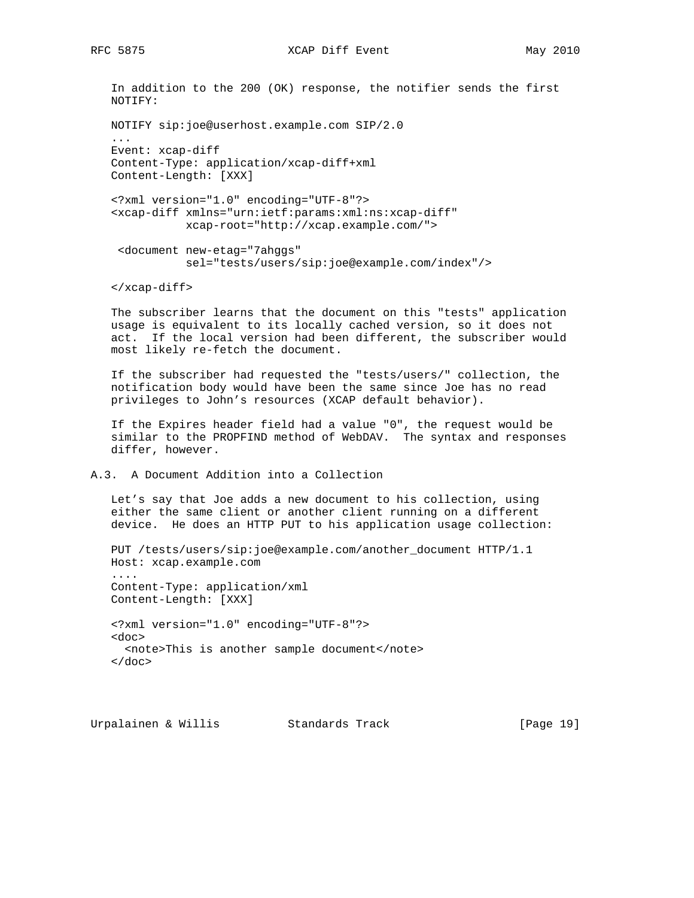```
 In addition to the 200 (OK) response, the notifier sends the first
 NOTIFY:
```

```
 NOTIFY sip:joe@userhost.example.com SIP/2.0
```

```
 ...
 Event: xcap-diff
 Content-Type: application/xcap-diff+xml
 Content-Length: [XXX]
```

```
 <?xml version="1.0" encoding="UTF-8"?>
 <xcap-diff xmlns="urn:ietf:params:xml:ns:xcap-diff"
           xcap-root="http://xcap.example.com/">
```

```
 <document new-etag="7ahggs"
           sel="tests/users/sip:joe@example.com/index"/>
```
</xcap-diff>

 The subscriber learns that the document on this "tests" application usage is equivalent to its locally cached version, so it does not act. If the local version had been different, the subscriber would most likely re-fetch the document.

 If the subscriber had requested the "tests/users/" collection, the notification body would have been the same since Joe has no read privileges to John's resources (XCAP default behavior).

 If the Expires header field had a value "0", the request would be similar to the PROPFIND method of WebDAV. The syntax and responses differ, however.

A.3. A Document Addition into a Collection

 Let's say that Joe adds a new document to his collection, using either the same client or another client running on a different device. He does an HTTP PUT to his application usage collection:

```
 PUT /tests/users/sip:joe@example.com/another_document HTTP/1.1
 Host: xcap.example.com
 ....
 Content-Type: application/xml
 Content-Length: [XXX]
 <?xml version="1.0" encoding="UTF-8"?>
 <doc>
  <note>This is another sample document</note>
 </doc>
```
Urpalainen & Willis Standards Track [Page 19]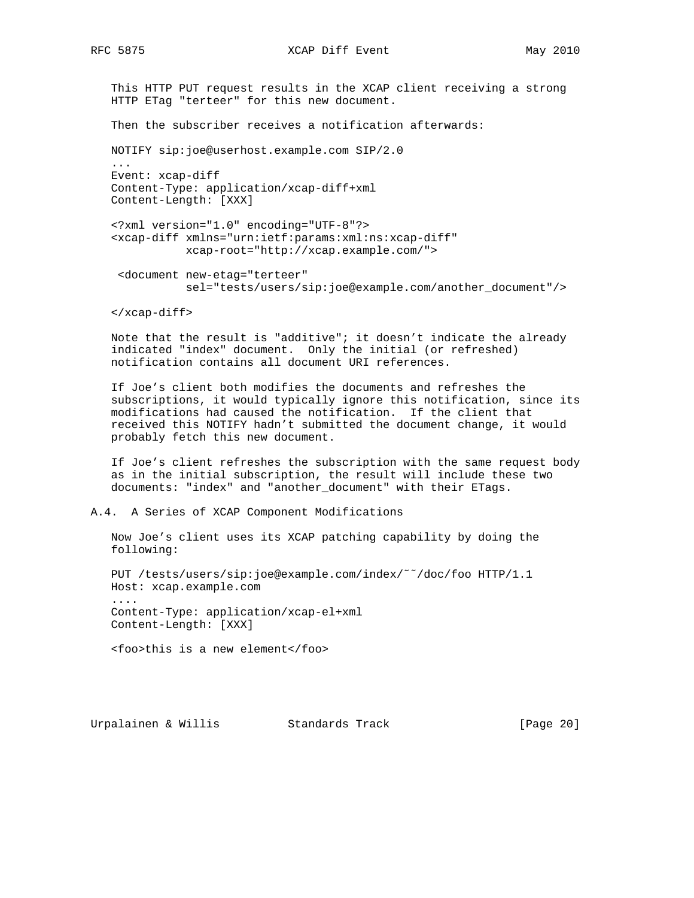...

 This HTTP PUT request results in the XCAP client receiving a strong HTTP ETag "terteer" for this new document.

Then the subscriber receives a notification afterwards:

NOTIFY sip:joe@userhost.example.com SIP/2.0

 Event: xcap-diff Content-Type: application/xcap-diff+xml Content-Length: [XXX]

 <?xml version="1.0" encoding="UTF-8"?> <xcap-diff xmlns="urn:ietf:params:xml:ns:xcap-diff" xcap-root="http://xcap.example.com/">

 <document new-etag="terteer" sel="tests/users/sip:joe@example.com/another\_document"/>

</xcap-diff>

 Note that the result is "additive"; it doesn't indicate the already indicated "index" document. Only the initial (or refreshed) notification contains all document URI references.

 If Joe's client both modifies the documents and refreshes the subscriptions, it would typically ignore this notification, since its modifications had caused the notification. If the client that received this NOTIFY hadn't submitted the document change, it would probably fetch this new document.

 If Joe's client refreshes the subscription with the same request body as in the initial subscription, the result will include these two documents: "index" and "another\_document" with their ETags.

A.4. A Series of XCAP Component Modifications

 Now Joe's client uses its XCAP patching capability by doing the following:

 PUT /tests/users/sip:joe@example.com/index/˜˜/doc/foo HTTP/1.1 Host: xcap.example.com .... Content-Type: application/xcap-el+xml Content-Length: [XXX]

<foo>this is a new element</foo>

Urpalainen & Willis Standards Track [Page 20]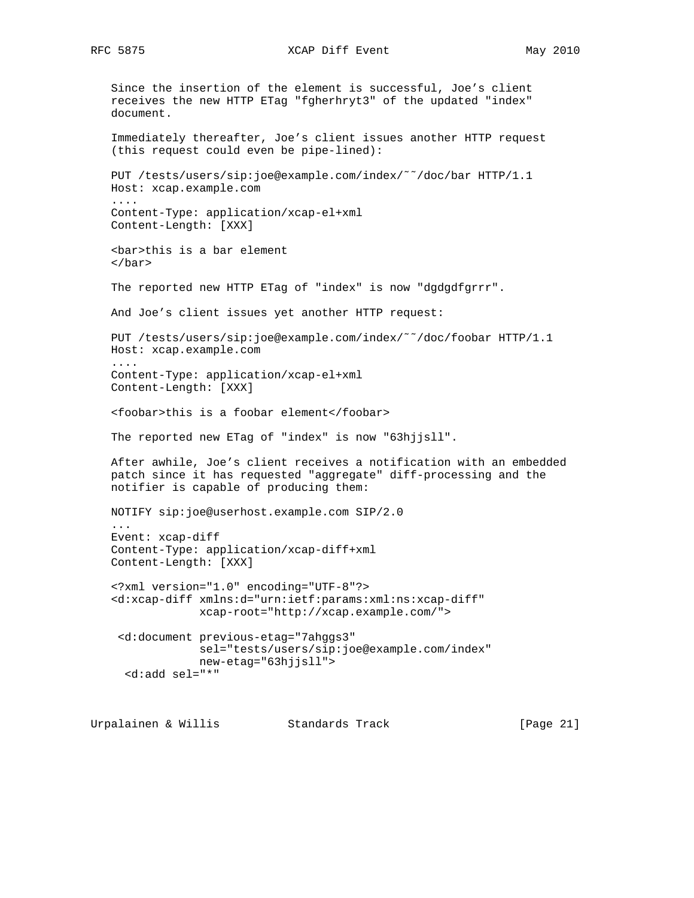RFC 5875 XCAP Diff Event May 2010

 Since the insertion of the element is successful, Joe's client receives the new HTTP ETag "fgherhryt3" of the updated "index" document. Immediately thereafter, Joe's client issues another HTTP request (this request could even be pipe-lined): PUT /tests/users/sip:joe@example.com/index/˜˜/doc/bar HTTP/1.1 Host: xcap.example.com .... Content-Type: application/xcap-el+xml Content-Length: [XXX] <bar>this is a bar element </bar> The reported new HTTP ETag of "index" is now "dgdgdfgrrr". And Joe's client issues yet another HTTP request: PUT /tests/users/sip:joe@example.com/index/˜˜/doc/foobar HTTP/1.1 Host: xcap.example.com .... Content-Type: application/xcap-el+xml Content-Length: [XXX] <foobar>this is a foobar element</foobar> The reported new ETag of "index" is now "63hjjsll". After awhile, Joe's client receives a notification with an embedded patch since it has requested "aggregate" diff-processing and the notifier is capable of producing them: NOTIFY sip:joe@userhost.example.com SIP/2.0 ... Event: xcap-diff Content-Type: application/xcap-diff+xml Content-Length: [XXX] <?xml version="1.0" encoding="UTF-8"?> <d:xcap-diff xmlns:d="urn:ietf:params:xml:ns:xcap-diff" xcap-root="http://xcap.example.com/"> <d:document previous-etag="7ahggs3" sel="tests/users/sip:joe@example.com/index" new-etag="63hjjsll"> <d:add sel="\*"

Urpalainen & Willis Standards Track [Page 21]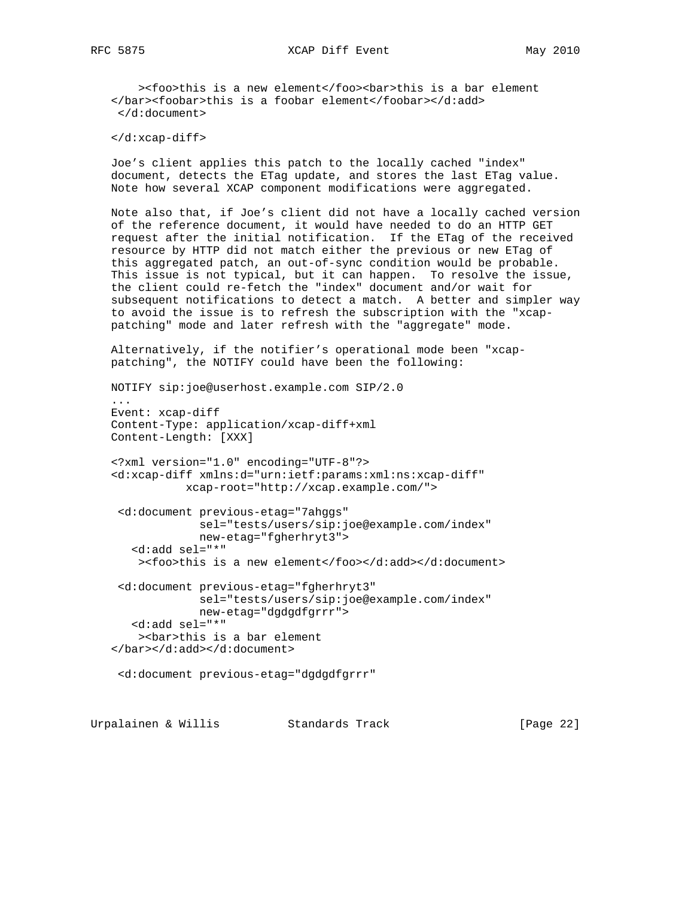><foo>this is a new element</foo><br/>bar>this is a bar element </bar><foobar>this is a foobar element</foobar></d:add> </d:document>

</d:xcap-diff>

 Joe's client applies this patch to the locally cached "index" document, detects the ETag update, and stores the last ETag value. Note how several XCAP component modifications were aggregated.

 Note also that, if Joe's client did not have a locally cached version of the reference document, it would have needed to do an HTTP GET request after the initial notification. If the ETag of the received resource by HTTP did not match either the previous or new ETag of this aggregated patch, an out-of-sync condition would be probable. This issue is not typical, but it can happen. To resolve the issue, the client could re-fetch the "index" document and/or wait for subsequent notifications to detect a match. A better and simpler way to avoid the issue is to refresh the subscription with the "xcap patching" mode and later refresh with the "aggregate" mode.

 Alternatively, if the notifier's operational mode been "xcap patching", the NOTIFY could have been the following:

NOTIFY sip:joe@userhost.example.com SIP/2.0

 ... Event: xcap-diff Content-Type: application/xcap-diff+xml Content-Length: [XXX]

 <?xml version="1.0" encoding="UTF-8"?> <d:xcap-diff xmlns:d="urn:ietf:params:xml:ns:xcap-diff" xcap-root="http://xcap.example.com/">

 <d:document previous-etag="7ahggs" sel="tests/users/sip:joe@example.com/index" new-etag="fgherhryt3"> <d:add sel="\*"

><foo>this is a new element</foo></d:add></d:document>

 <d:document previous-etag="fgherhryt3" sel="tests/users/sip:joe@example.com/index" new-etag="dgdgdfgrrr"> <d:add sel="\*" ><bar>this is a bar element </bar></d:add></d:document>

<d:document previous-etag="dgdgdfgrrr"

Urpalainen & Willis Standards Track [Page 22]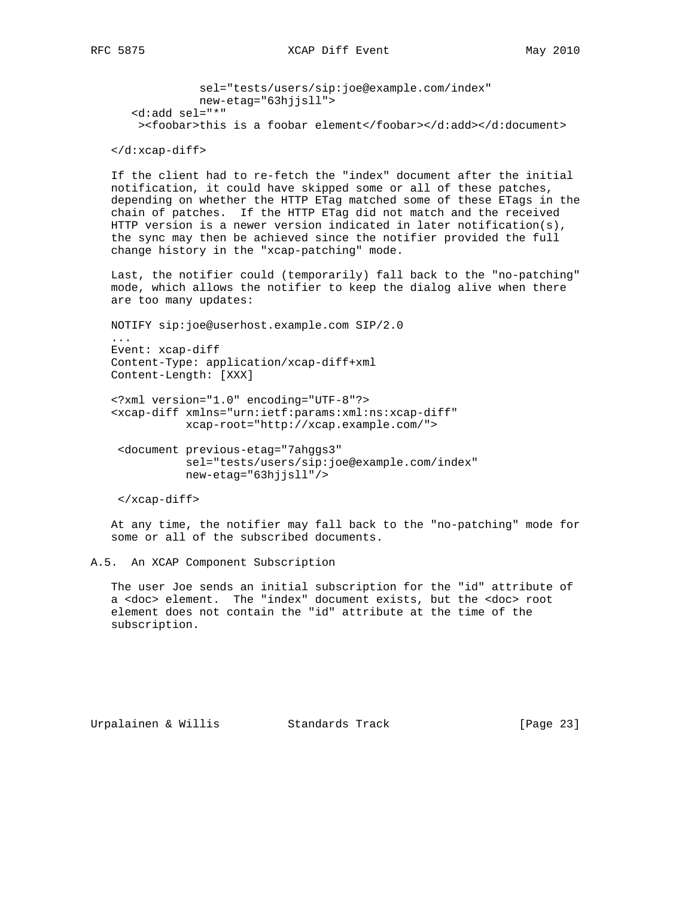sel="tests/users/sip:joe@example.com/index" new-etag="63hjjsll"> <d:add sel="\*" ><foobar>this is a foobar element</foobar></d:add></d:document>

</d:xcap-diff>

 If the client had to re-fetch the "index" document after the initial notification, it could have skipped some or all of these patches, depending on whether the HTTP ETag matched some of these ETags in the chain of patches. If the HTTP ETag did not match and the received HTTP version is a newer version indicated in later notification(s), the sync may then be achieved since the notifier provided the full change history in the "xcap-patching" mode.

 Last, the notifier could (temporarily) fall back to the "no-patching" mode, which allows the notifier to keep the dialog alive when there are too many updates:

 NOTIFY sip:joe@userhost.example.com SIP/2.0 ... Event: xcap-diff Content-Type: application/xcap-diff+xml Content-Length: [XXX]

 <?xml version="1.0" encoding="UTF-8"?> <xcap-diff xmlns="urn:ietf:params:xml:ns:xcap-diff" xcap-root="http://xcap.example.com/">

 <document previous-etag="7ahggs3" sel="tests/users/sip:joe@example.com/index" new-etag="63hjjsll"/>

```
 </xcap-diff>
```
 At any time, the notifier may fall back to the "no-patching" mode for some or all of the subscribed documents.

A.5. An XCAP Component Subscription

 The user Joe sends an initial subscription for the "id" attribute of a <doc> element. The "index" document exists, but the <doc> root element does not contain the "id" attribute at the time of the subscription.

Urpalainen & Willis Standards Track [Page 23]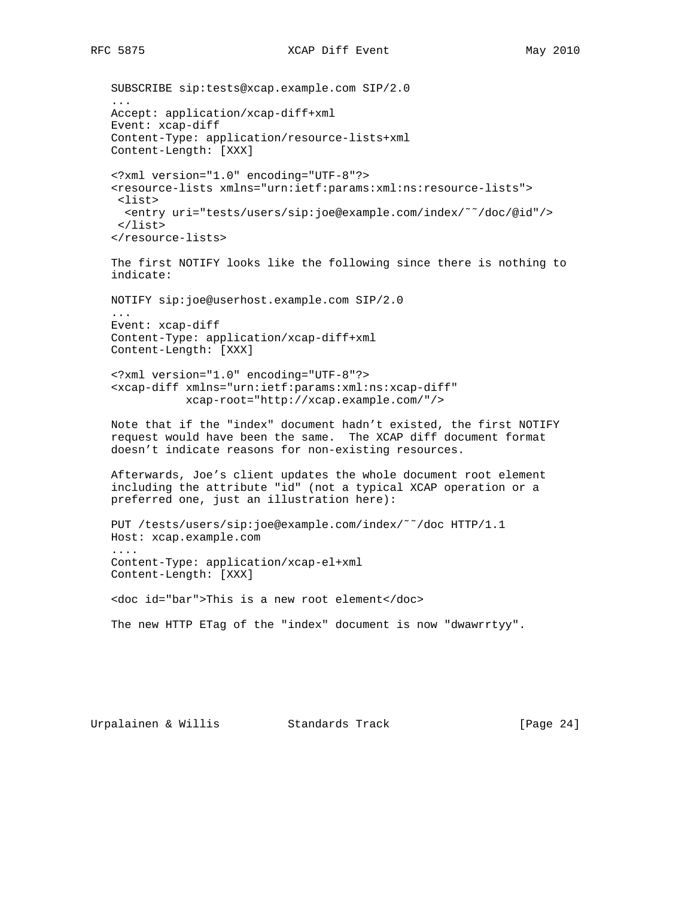```
 SUBSCRIBE sip:tests@xcap.example.com SIP/2.0
 ...
 Accept: application/xcap-diff+xml
 Event: xcap-diff
 Content-Type: application/resource-lists+xml
 Content-Length: [XXX]
 <?xml version="1.0" encoding="UTF-8"?>
 <resource-lists xmlns="urn:ietf:params:xml:ns:resource-lists">
  <list>
   <entry uri="tests/users/sip:joe@example.com/index/˜˜/doc/@id"/>
  </list>
 </resource-lists>
 The first NOTIFY looks like the following since there is nothing to
 indicate:
 NOTIFY sip:joe@userhost.example.com SIP/2.0
 ...
 Event: xcap-diff
 Content-Type: application/xcap-diff+xml
 Content-Length: [XXX]
 <?xml version="1.0" encoding="UTF-8"?>
 <xcap-diff xmlns="urn:ietf:params:xml:ns:xcap-diff"
            xcap-root="http://xcap.example.com/"/>
 Note that if the "index" document hadn't existed, the first NOTIFY
 request would have been the same. The XCAP diff document format
 doesn't indicate reasons for non-existing resources.
 Afterwards, Joe's client updates the whole document root element
 including the attribute "id" (not a typical XCAP operation or a
 preferred one, just an illustration here):
 PUT /tests/users/sip:joe@example.com/index/˜˜/doc HTTP/1.1
 Host: xcap.example.com
 ....
 Content-Type: application/xcap-el+xml
 Content-Length: [XXX]
 <doc id="bar">This is a new root element</doc>
 The new HTTP ETag of the "index" document is now "dwawrrtyy".
```
Urpalainen & Willis Standards Track [Page 24]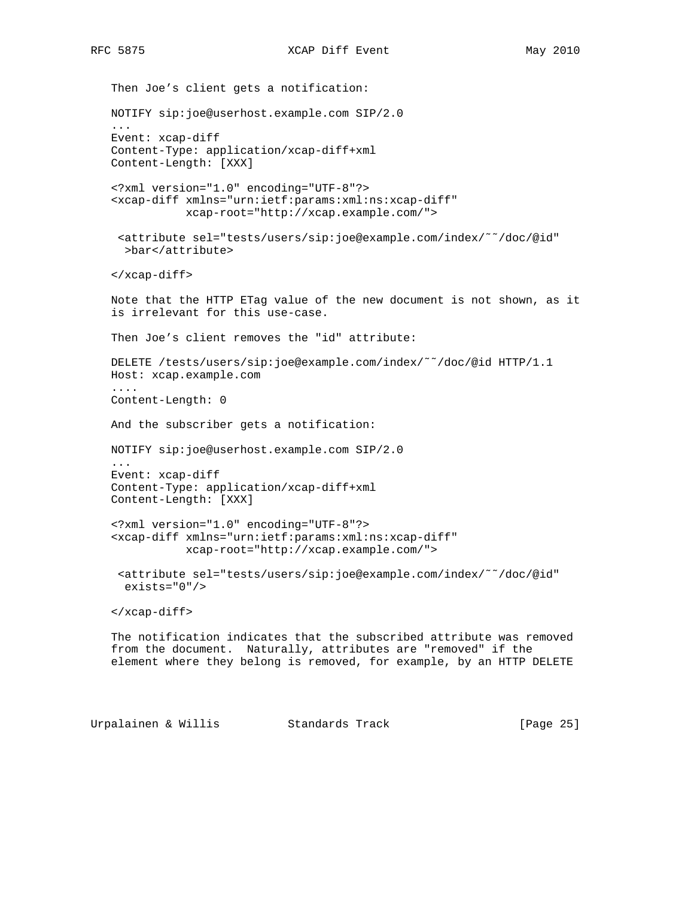Then Joe's client gets a notification: NOTIFY sip:joe@userhost.example.com SIP/2.0 ... Event: xcap-diff Content-Type: application/xcap-diff+xml Content-Length: [XXX] <?xml version="1.0" encoding="UTF-8"?> <xcap-diff xmlns="urn:ietf:params:xml:ns:xcap-diff" xcap-root="http://xcap.example.com/"> <attribute sel="tests/users/sip:joe@example.com/index/˜˜/doc/@id" >bar</attribute> </xcap-diff> Note that the HTTP ETag value of the new document is not shown, as it is irrelevant for this use-case. Then Joe's client removes the "id" attribute: DELETE /tests/users/sip:joe@example.com/index/˜˜/doc/@id HTTP/1.1 Host: xcap.example.com .... Content-Length: 0 And the subscriber gets a notification: NOTIFY sip:joe@userhost.example.com SIP/2.0 ... Event: xcap-diff Content-Type: application/xcap-diff+xml Content-Length: [XXX] <?xml version="1.0" encoding="UTF-8"?> <xcap-diff xmlns="urn:ietf:params:xml:ns:xcap-diff" xcap-root="http://xcap.example.com/"> <attribute sel="tests/users/sip:joe@example.com/index/˜˜/doc/@id" exists="0"/> </xcap-diff> The notification indicates that the subscribed attribute was removed from the document. Naturally, attributes are "removed" if the element where they belong is removed, for example, by an HTTP DELETE

Urpalainen & Willis Standards Track [Page 25]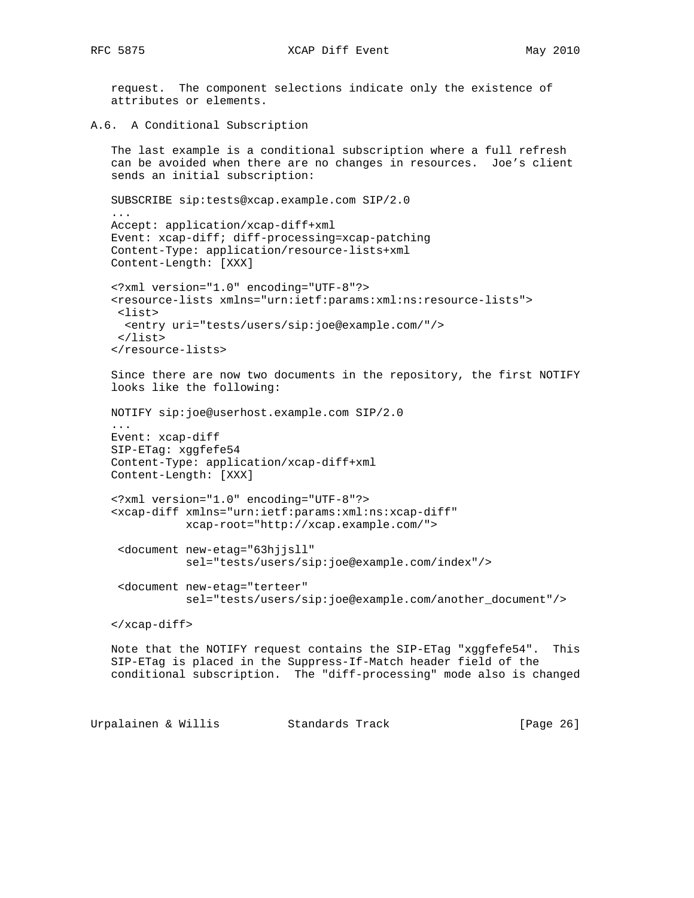request. The component selections indicate only the existence of attributes or elements.

A.6. A Conditional Subscription

```
 The last example is a conditional subscription where a full refresh
 can be avoided when there are no changes in resources. Joe's client
 sends an initial subscription:
```

```
 SUBSCRIBE sip:tests@xcap.example.com SIP/2.0
 ...
   Accept: application/xcap-diff+xml
   Event: xcap-diff; diff-processing=xcap-patching
   Content-Type: application/resource-lists+xml
   Content-Length: [XXX]
```

```
 <?xml version="1.0" encoding="UTF-8"?>
 <resource-lists xmlns="urn:ietf:params:xml:ns:resource-lists">
 <list>
  <entry uri="tests/users/sip:joe@example.com/"/>
 </list>
 </resource-lists>
```

```
 Since there are now two documents in the repository, the first NOTIFY
 looks like the following:
```

```
 NOTIFY sip:joe@userhost.example.com SIP/2.0
```

```
 ...
 Event: xcap-diff
 SIP-ETag: xggfefe54
 Content-Type: application/xcap-diff+xml
 Content-Length: [XXX]
```

```
 <?xml version="1.0" encoding="UTF-8"?>
 <xcap-diff xmlns="urn:ietf:params:xml:ns:xcap-diff"
            xcap-root="http://xcap.example.com/">
```

```
 <document new-etag="63hjjsll"
          sel="tests/users/sip:joe@example.com/index"/>
```

```
 <document new-etag="terteer"
          sel="tests/users/sip:joe@example.com/another_document"/>
```

```
 </xcap-diff>
```
 Note that the NOTIFY request contains the SIP-ETag "xggfefe54". This SIP-ETag is placed in the Suppress-If-Match header field of the conditional subscription. The "diff-processing" mode also is changed

Urpalainen & Willis Standards Track [Page 26]